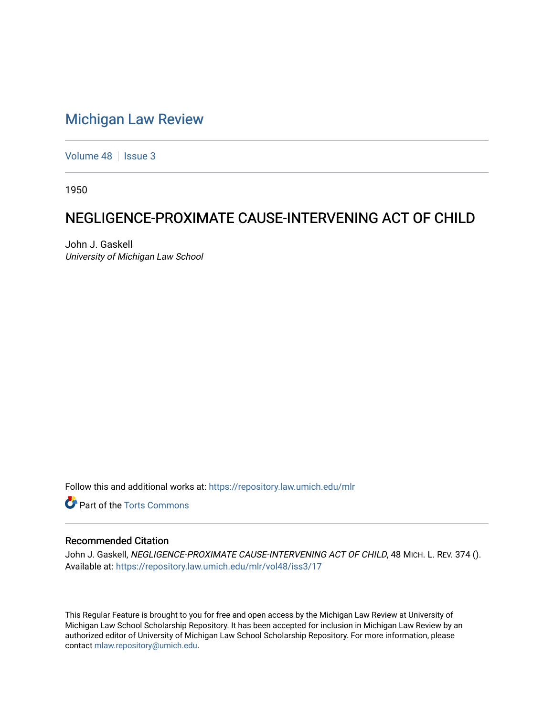## [Michigan Law Review](https://repository.law.umich.edu/mlr)

[Volume 48](https://repository.law.umich.edu/mlr/vol48) | [Issue 3](https://repository.law.umich.edu/mlr/vol48/iss3)

1950

## NEGLIGENCE-PROXIMATE CAUSE-INTERVENING ACT OF CHILD

John J. Gaskell University of Michigan Law School

Follow this and additional works at: [https://repository.law.umich.edu/mlr](https://repository.law.umich.edu/mlr?utm_source=repository.law.umich.edu%2Fmlr%2Fvol48%2Fiss3%2F17&utm_medium=PDF&utm_campaign=PDFCoverPages) 

**Part of the [Torts Commons](http://network.bepress.com/hgg/discipline/913?utm_source=repository.law.umich.edu%2Fmlr%2Fvol48%2Fiss3%2F17&utm_medium=PDF&utm_campaign=PDFCoverPages)** 

## Recommended Citation

John J. Gaskell, NEGLIGENCE-PROXIMATE CAUSE-INTERVENING ACT OF CHILD, 48 MICH. L. REV. 374 (). Available at: [https://repository.law.umich.edu/mlr/vol48/iss3/17](https://repository.law.umich.edu/mlr/vol48/iss3/17?utm_source=repository.law.umich.edu%2Fmlr%2Fvol48%2Fiss3%2F17&utm_medium=PDF&utm_campaign=PDFCoverPages) 

This Regular Feature is brought to you for free and open access by the Michigan Law Review at University of Michigan Law School Scholarship Repository. It has been accepted for inclusion in Michigan Law Review by an authorized editor of University of Michigan Law School Scholarship Repository. For more information, please contact [mlaw.repository@umich.edu](mailto:mlaw.repository@umich.edu).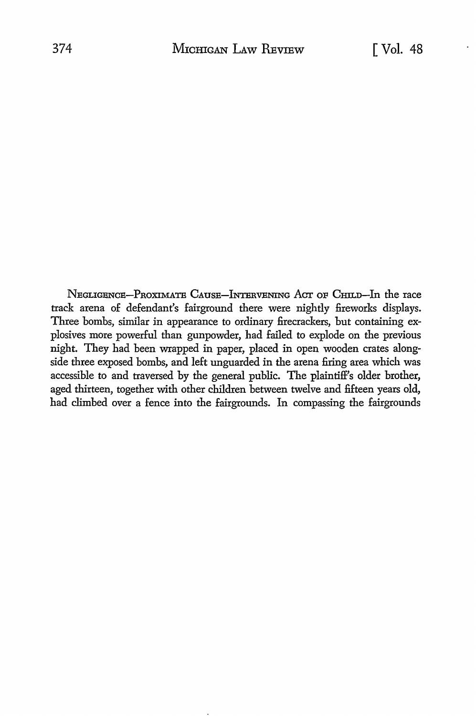NEGLIGENCE-PROXIMATE CAUSE-INTERVENING ACT OF CHILD-In the race track arena of defendant's fairground there were nightly fireworks displays. Three bombs, similar in appearance to ordinary firecrackers, but containing explosives more powerful than gunpowder, had failed to explode on the previous night. They had been wrapped in paper, placed in open wooden crates alongside three exposed bombs, and left unguarded in the arena firing area which was accessible to and traversed by the general public. The plaintiff's older brother, aged thirteen, together with other children between twelve and fifteen years old, had climbed over a fence into the fairgrounds. In compassing the fairgrounds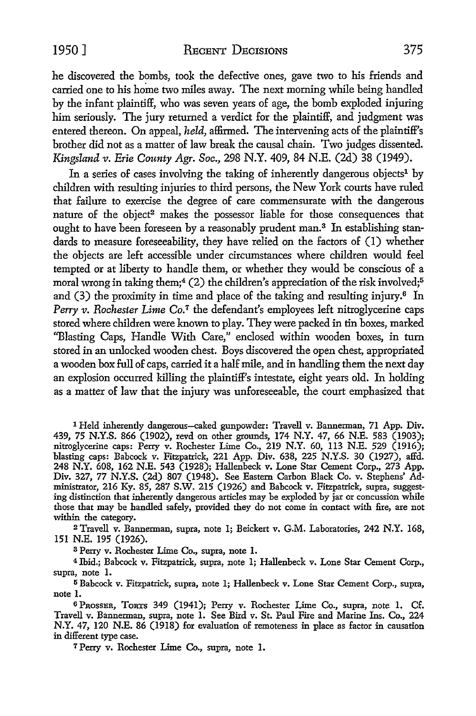1950] RECENT DECISIONS 375

he discovered the bombs, took the defective ones, gave two to his friends and carried one to his home two miles away. The next morning while being handled by the infant plaintiff, who was seven years of age, the bomb exploded injuring him seriously. The jury returned a verdict for the plaintiff, and judgment was entered thereon. On appeal, *held,* affirmed. The intervening acts of the plaintiff's brother did not as a matter of law break the causal chain. Two judges dissented. Kingsland v. *Erie County Agr. Soc.,* 298 N.Y. 409, 84 N.E. (2d) 38 (1949).

In a series of cases involving the taking of inherently dangerous objects<sup>1</sup> by children with resulting injuries to third persons, the New York courts have ruled that failure to exercise the degree of care commensurate with the dangerous nature of the object<sup>2</sup> makes the possessor liable for those consequences that ought to have been foreseen by a reasonably prudent man.<sup>3</sup> In establishing standards to measure foreseeability, they have relied on the factors of (1) whether the objects are left accessible under circumstances where children would feel tempted or at liberty to handle them, or whether they would be conscious of a moral wrong in taking them;<sup>4</sup> (2) the children's appreciation of the risk involved;<sup>5</sup> and  $(3)$  the proximity in time and place of the taking and resulting injury.<sup>6</sup> In *Perry v. Rochester Lime Co.<sup>7</sup>* the defendant's employees left nitroglycerine caps stored where children were known to play. They were packed in tin boxes, marked "Blasting Caps, Handle With Care," enclosed within wooden boxes, in tum stored in an unlocked wooden chest. Boys discovered the open chest, appropriated a wooden box full of caps, carried it a half mile, and in handling them the next day an explosion occurred killing the plaintiff's intestate, eight years old. In holding as a matter of law that the injury was unforeseeable, the court emphasized that

1 Held inherently dangerous-caked gunpowder: Travell v. Bannerman, 71 App. Div. 439, 75 N.Y.S. 866 (1902), revd on other grounds, 174 N.Y. 47, 66 N.E. 583 (1903); nitroglycerine caps: Perry v. Rochester Lime Co., 219 N.Y. 60, 113 N.E. 529 (1916); blasting caps: Babcock v. Fitzpatrick, 221 App. Div. 638, 225 N.Y.S. 30 (1927), affd. 248 N.Y. 608, 162 N.E. 543 (1928); Hallenbeck v. Lone Star Cement Corp., 273 App. Div. 327, 77 N.Y.S. (2d) 807 (1948). See Eastern Carbon Black Co. v. Stephens' Administrator, 216 Ky. 85, 287 S.W. 215 (1926) and Babcock v. Fitzpatrick, supra, suggesting distinction that inherently dangerous articles may be exploded by jar or concussion while those that may be handled safely, provided they do not come in contact with fire, are not within the category.

<sup>2</sup>Travell v. Bannerman, supra, note l; Beickert v. G.M. Laboratories, 242 N.Y. 168, 151 N.E. 195 (1926).

3 Perry v. Rochester Lime Co., supra, note 1.

<sup>4</sup>Ibid.; Babcock v. Fitzpatrick, supra, note l; Hallenbeck v. Lone Star Cement Corp., supra, note 1.

<sup>5</sup>Babcock v. Fitzpatrick, supra, note l; Hallenbeck v. Lone Star Cement Corp., supra, note I.

6 PROSSER, TORTS 349 (1941); Perry v. Rochester Lime Co., supra, note 1. Cf. Travell v. Bannerman, supra, note I. See Bird v. St. Paul Fire and Marine Ins. Co., 224 N.Y. 47, 120 N.E. 86 (1918) for evaluation of remoteness in place as factor in causation in different type case.

7 Perry v. Rochester Lime Co., supra, note 1.